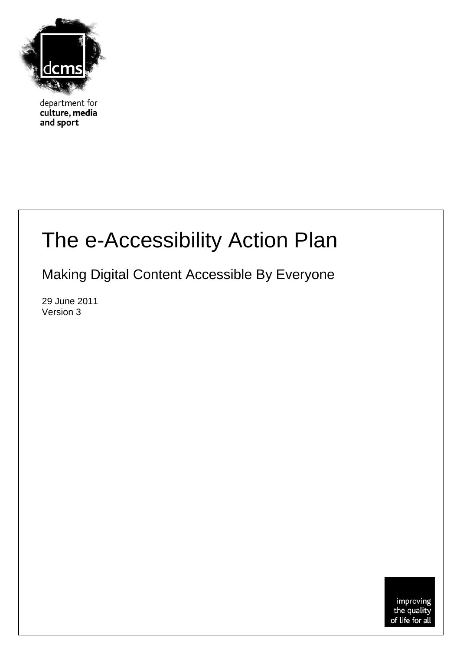

department for culture, media and sport

# The e-Accessibility Action Plan

## Making Digital Content Accessible By Everyone

<span id="page-0-0"></span>29 June 2011 Version 3

> improving<br>the quality of life for all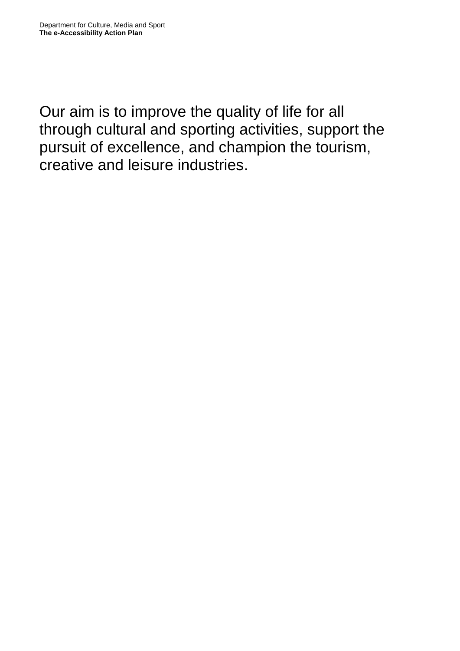Our aim is to improve the quality of life for all through cultural and sporting activities, support the pursuit of excellence, and champion the tourism, creative and leisure industries.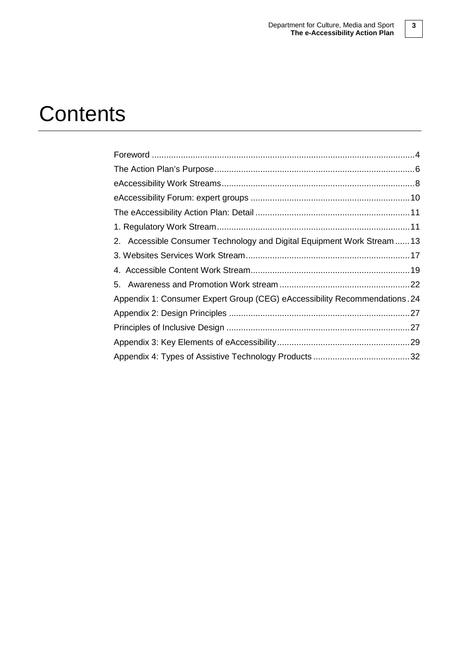**3**

## **Contents**

| 2. Accessible Consumer Technology and Digital Equipment Work Stream13      |  |
|----------------------------------------------------------------------------|--|
|                                                                            |  |
|                                                                            |  |
|                                                                            |  |
| Appendix 1: Consumer Expert Group (CEG) eAccessibility Recommendations .24 |  |
|                                                                            |  |
|                                                                            |  |
|                                                                            |  |
|                                                                            |  |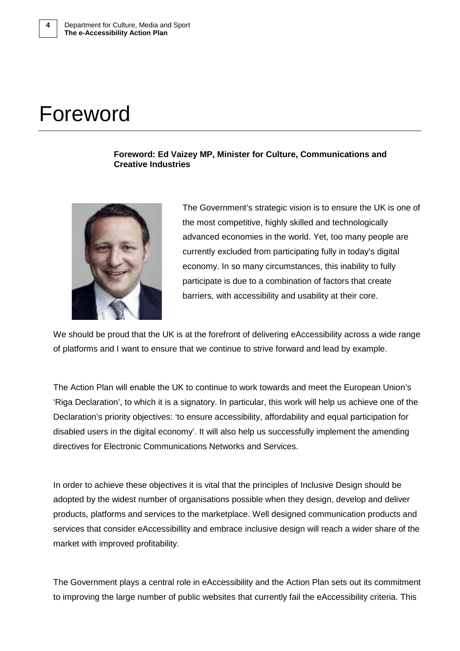## Foreword

**4**

#### **Foreword: Ed Vaizey MP, Minister for Culture, Communications and Creative Industries**



The Government's strategic vision is to ensure the UK is one of the most competitive, highly skilled and technologically advanced economies in the world. Yet, too many people are currently excluded from participating fully in today's digital economy. In so many circumstances, this inability to fully participate is due to a combination of factors that create barriers, with accessibility and usability at their core.

We should be proud that the UK is at the forefront of delivering eAccessibility across a wide range of platforms and I want to ensure that we continue to strive forward and lead by example.

The Action Plan will enable the UK to continue to work towards and meet the European Union's 'Riga Declaration', to which it is a signatory. In particular, this work will help us achieve one of the Declaration's priority objectives: 'to ensure accessibility, affordability and equal participation for disabled users in the digital economy'. It will also help us successfully implement the amending directives for Electronic Communications Networks and Services.

In order to achieve these objectives it is vital that the principles of Inclusive Design should be adopted by the widest number of organisations possible when they design, develop and deliver products, platforms and services to the marketplace. Well designed communication products and services that consider eAccessibillity and embrace inclusive design will reach a wider share of the market with improved profitability.

The Government plays a central role in eAccessibility and the Action Plan sets out its commitment to improving the large number of public websites that currently fail the eAccessibility criteria. This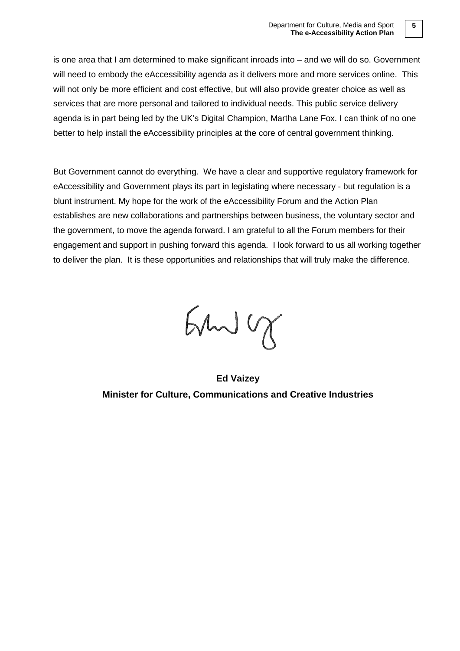is one area that I am determined to make significant inroads into – and we will do so. Government will need to embody the eAccessibility agenda as it delivers more and more services online. This will not only be more efficient and cost effective, but will also provide greater choice as well as services that are more personal and tailored to individual needs. This public service delivery agenda is in part being led by the UK's Digital Champion, Martha Lane Fox. I can think of no one better to help install the eAccessibility principles at the core of central government thinking.

But Government cannot do everything. We have a clear and supportive regulatory framework for eAccessibility and Government plays its part in legislating where necessary - but regulation is a blunt instrument. My hope for the work of the eAccessibility Forum and the Action Plan establishes are new collaborations and partnerships between business, the voluntary sector and the government, to move the agenda forward. I am grateful to all the Forum members for their engagement and support in pushing forward this agenda. I look forward to us all working together to deliver the plan. It is these opportunities and relationships that will truly make the difference.

 $5400$ 

**Ed Vaizey Minister for Culture, Communications and Creative Industries**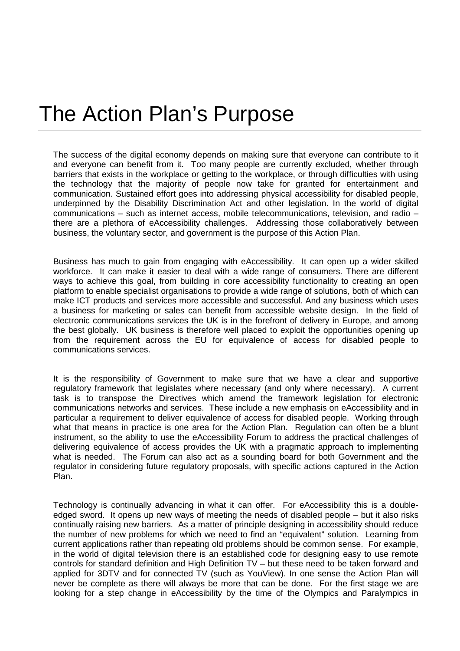## The Action Plan's Purpose

The success of the digital economy depends on making sure that everyone can contribute to it and everyone can benefit from it. Too many people are currently excluded, whether through barriers that exists in the workplace or getting to the workplace, or through difficulties with using the technology that the majority of people now take for granted for entertainment and communication. Sustained effort goes into addressing physical accessibility for disabled people, underpinned by the Disability Discrimination Act and other legislation. In the world of digital communications – such as internet access, mobile telecommunications, television, and radio – there are a plethora of eAccessibility challenges. Addressing those collaboratively between business, the voluntary sector, and government is the purpose of this Action Plan.

Business has much to gain from engaging with eAccessibility. It can open up a wider skilled workforce. It can make it easier to deal with a wide range of consumers. There are different ways to achieve this goal, from building in core accessibility functionality to creating an open platform to enable specialist organisations to provide a wide range of solutions, both of which can make ICT products and services more accessible and successful. And any business which uses a business for marketing or sales can benefit from accessible website design. In the field of electronic communications services the UK is in the forefront of delivery in Europe, and among the best globally. UK business is therefore well placed to exploit the opportunities opening up from the requirement across the EU for equivalence of access for disabled people to communications services.

It is the responsibility of Government to make sure that we have a clear and supportive regulatory framework that legislates where necessary (and only where necessary). A current task is to transpose the Directives which amend the framework legislation for electronic communications networks and services. These include a new emphasis on eAccessibility and in particular a requirement to deliver equivalence of access for disabled people. Working through what that means in practice is one area for the Action Plan. Regulation can often be a blunt instrument, so the ability to use the eAccessibility Forum to address the practical challenges of delivering equivalence of access provides the UK with a pragmatic approach to implementing what is needed. The Forum can also act as a sounding board for both Government and the regulator in considering future regulatory proposals, with specific actions captured in the Action Plan.

Technology is continually advancing in what it can offer. For eAccessibility this is a doubleedged sword. It opens up new ways of meeting the needs of disabled people – but it also risks continually raising new barriers. As a matter of principle designing in accessibility should reduce the number of new problems for which we need to find an "equivalent" solution. Learning from current applications rather than repeating old problems should be common sense. For example, in the world of digital television there is an established code for designing easy to use remote controls for standard definition and High Definition TV – but these need to be taken forward and applied for 3DTV and for connected TV (such as YouView). In one sense the Action Plan will never be complete as there will always be more that can be done. For the first stage we are looking for a step change in eAccessibility by the time of the Olympics and Paralympics in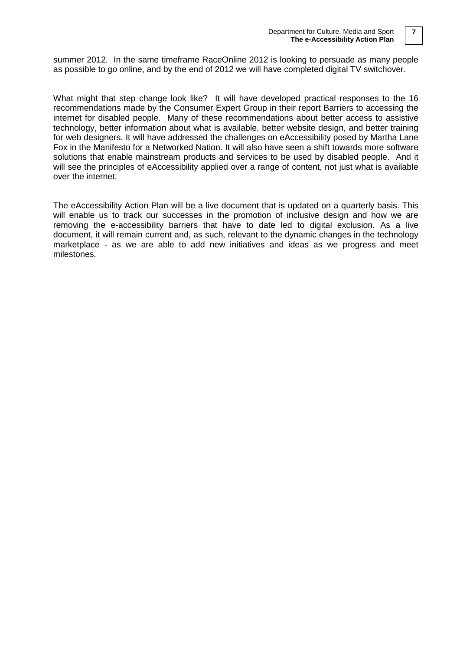summer 2012. In the same timeframe RaceOnline 2012 is looking to persuade as many people as possible to go online, and by the end of 2012 we will have completed digital TV switchover.

What might that step change look like? It will have developed practical responses to the 16 recommendations made by the Consumer Expert Group in their report Barriers to accessing the internet for disabled people. Many of these recommendations about better access to assistive technology, better information about what is available, better website design, and better training for web designers. It will have addressed the challenges on eAccessibility posed by Martha Lane Fox in the Manifesto for a Networked Nation. It will also have seen a shift towards more software solutions that enable mainstream products and services to be used by disabled people. And it will see the principles of eAccessibility applied over a range of content, not just what is available over the internet.

The eAccessibility Action Plan will be a live document that is updated on a quarterly basis. This will enable us to track our successes in the promotion of inclusive design and how we are removing the e-accessibility barriers that have to date led to digital exclusion. As a live document, it will remain current and, as such, relevant to the dynamic changes in the technology marketplace - as we are able to add new initiatives and ideas as we progress and meet milestones.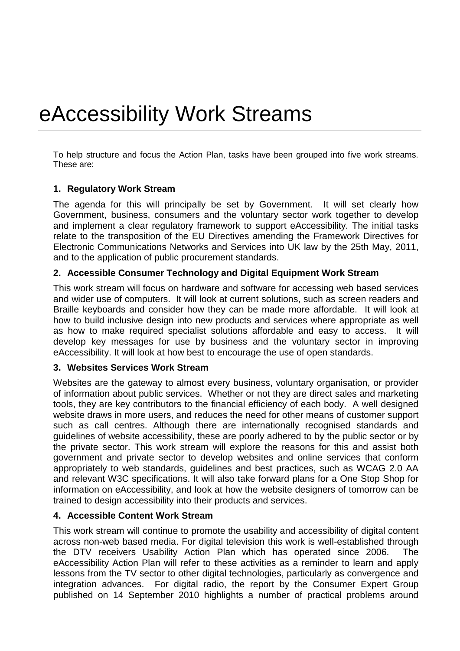# eAccessibility Work Streams

To help structure and focus the Action Plan, tasks have been grouped into five work streams. These are:

#### **1. Regulatory Work Stream**

The agenda for this will principally be set by Government. It will set clearly how Government, business, consumers and the voluntary sector work together to develop and implement a clear regulatory framework to support eAccessibility. The initial tasks relate to the transposition of the EU Directives amending the Framework Directives for Electronic Communications Networks and Services into UK law by the 25th May, 2011, and to the application of public procurement standards.

#### **2. Accessible Consumer Technology and Digital Equipment Work Stream**

This work stream will focus on hardware and software for accessing web based services and wider use of computers. It will look at current solutions, such as screen readers and Braille keyboards and consider how they can be made more affordable. It will look at how to build inclusive design into new products and services where appropriate as well as how to make required specialist solutions affordable and easy to access. It will develop key messages for use by business and the voluntary sector in improving eAccessibility. It will look at how best to encourage the use of open standards.

#### **3. Websites Services Work Stream**

Websites are the gateway to almost every business, voluntary organisation, or provider of information about public services. Whether or not they are direct sales and marketing tools, they are key contributors to the financial efficiency of each body. A well designed website draws in more users, and reduces the need for other means of customer support such as call centres. Although there are internationally recognised standards and guidelines of website accessibility, these are poorly adhered to by the public sector or by the private sector. This work stream will explore the reasons for this and assist both government and private sector to develop websites and online services that conform appropriately to web standards, guidelines and best practices, such as WCAG 2.0 AA and relevant W3C specifications. It will also take forward plans for a One Stop Shop for information on eAccessibility, and look at how the website designers of tomorrow can be trained to design accessibility into their products and services.

#### **4. Accessible Content Work Stream**

This work stream will continue to promote the usability and accessibility of digital content across non-web based media. For digital television this work is well-established through the DTV receivers Usability Action Plan which has operated since 2006. The eAccessibility Action Plan will refer to these activities as a reminder to learn and apply lessons from the TV sector to other digital technologies, particularly as convergence and integration advances. For digital radio, the report by the Consumer Expert Group published on 14 September 2010 highlights a number of practical problems around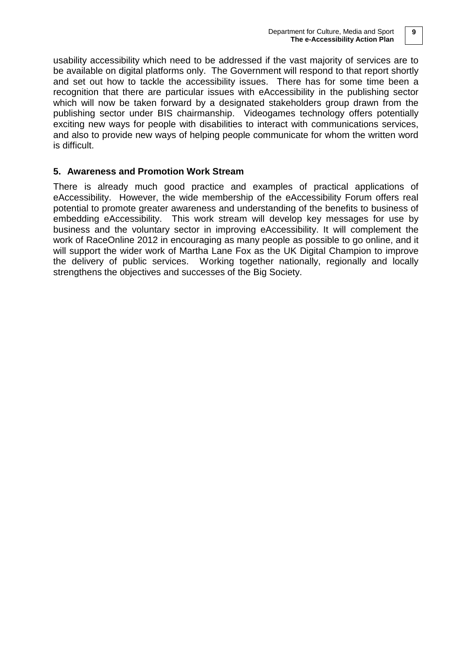usability accessibility which need to be addressed if the vast majority of services are to be available on digital platforms only. The Government will respond to that report shortly and set out how to tackle the accessibility issues. There has for some time been a recognition that there are particular issues with eAccessibility in the publishing sector which will now be taken forward by a designated stakeholders group drawn from the publishing sector under BIS chairmanship. Videogames technology offers potentially exciting new ways for people with disabilities to interact with communications services, and also to provide new ways of helping people communicate for whom the written word is difficult.

#### **5. Awareness and Promotion Work Stream**

There is already much good practice and examples of practical applications of eAccessibility. However, the wide membership of the eAccessibility Forum offers real potential to promote greater awareness and understanding of the benefits to business of embedding eAccessibility. This work stream will develop key messages for use by business and the voluntary sector in improving eAccessibility. It will complement the work of RaceOnline 2012 in encouraging as many people as possible to go online, and it will support the wider work of Martha Lane Fox as the UK Digital Champion to improve the delivery of public services. Working together nationally, regionally and locally strengthens the objectives and successes of the Big Society.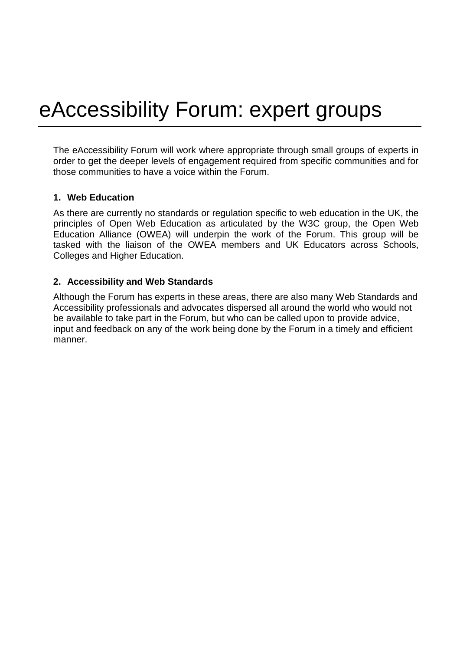## eAccessibility Forum: expert groups

The eAccessibility Forum will work where appropriate through small groups of experts in order to get the deeper levels of engagement required from specific communities and for those communities to have a voice within the Forum.

#### **1. Web Education**

As there are currently no standards or regulation specific to web education in the UK, the principles of Open Web Education as articulated by the W3C group, the Open Web Education Alliance (OWEA) will underpin the work of the Forum. This group will be tasked with the liaison of the OWEA members and UK Educators across Schools, Colleges and Higher Education.

#### **2. Accessibility and Web Standards**

Although the Forum has experts in these areas, there are also many Web Standards and Accessibility professionals and advocates dispersed all around the world who would not be available to take part in the Forum, but who can be called upon to provide advice, input and feedback on any of the work being done by the Forum in a timely and efficient manner.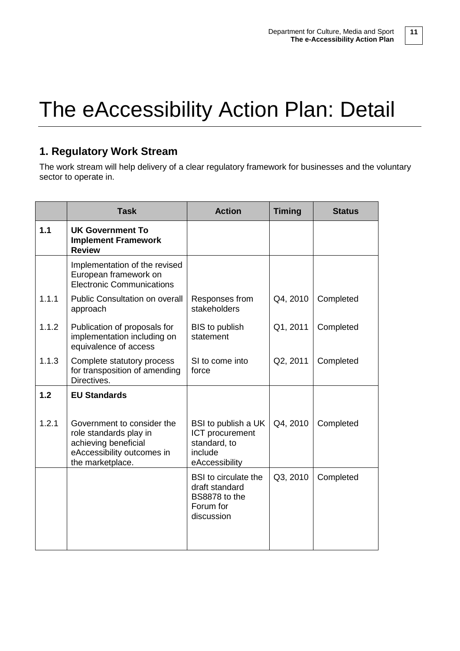**11**

## The eAccessibility Action Plan: Detail

## **1. Regulatory Work Stream**

The work stream will help delivery of a clear regulatory framework for businesses and the voluntary sector to operate in.

|       | <b>Task</b>                                                                                                                    | <b>Action</b>                                                                             | <b>Timing</b> | <b>Status</b> |
|-------|--------------------------------------------------------------------------------------------------------------------------------|-------------------------------------------------------------------------------------------|---------------|---------------|
| 1.1   | <b>UK Government To</b><br><b>Implement Framework</b><br><b>Review</b>                                                         |                                                                                           |               |               |
|       | Implementation of the revised<br>European framework on<br><b>Electronic Communications</b>                                     |                                                                                           |               |               |
| 1.1.1 | <b>Public Consultation on overall</b><br>approach                                                                              | Responses from<br>stakeholders                                                            | Q4, 2010      | Completed     |
| 1.1.2 | Publication of proposals for<br>implementation including on<br>equivalence of access                                           | BIS to publish<br>statement                                                               | Q1, 2011      | Completed     |
| 1.1.3 | Complete statutory process<br>for transposition of amending<br>Directives.                                                     | SI to come into<br>force                                                                  | Q2, 2011      | Completed     |
| 1.2   | <b>EU Standards</b>                                                                                                            |                                                                                           |               |               |
| 1.2.1 | Government to consider the<br>role standards play in<br>achieving beneficial<br>eAccessibility outcomes in<br>the marketplace. | BSI to publish a UK<br>ICT procurement<br>standard, to<br>include<br>eAccessibility       | Q4, 2010      | Completed     |
|       |                                                                                                                                | <b>BSI</b> to circulate the<br>draft standard<br>BS8878 to the<br>Forum for<br>discussion | Q3, 2010      | Completed     |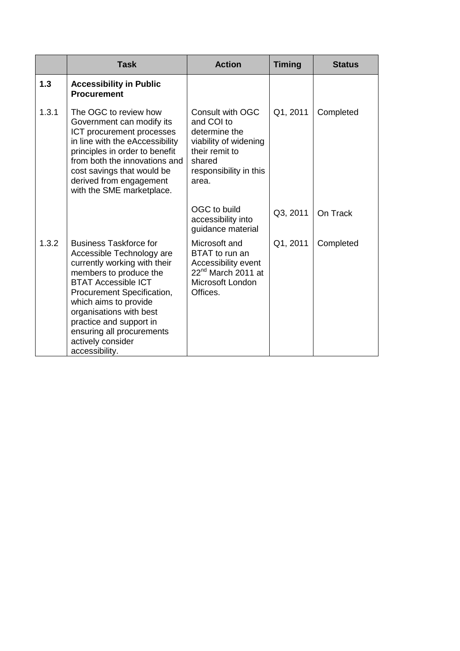|       | <b>Task</b>                                                                                                                                                                                                                                                                                                                         | <b>Action</b>                                                                                                                           | <b>Timing</b> | <b>Status</b> |
|-------|-------------------------------------------------------------------------------------------------------------------------------------------------------------------------------------------------------------------------------------------------------------------------------------------------------------------------------------|-----------------------------------------------------------------------------------------------------------------------------------------|---------------|---------------|
| 1.3   | <b>Accessibility in Public</b><br><b>Procurement</b>                                                                                                                                                                                                                                                                                |                                                                                                                                         |               |               |
| 1.3.1 | The OGC to review how<br>Government can modify its<br>ICT procurement processes<br>in line with the eAccessibility<br>principles in order to benefit<br>from both the innovations and<br>cost savings that would be<br>derived from engagement<br>with the SME marketplace.                                                         | Consult with OGC<br>and COI to<br>determine the<br>viability of widening<br>their remit to<br>shared<br>responsibility in this<br>area. | Q1, 2011      | Completed     |
|       |                                                                                                                                                                                                                                                                                                                                     | OGC to build<br>accessibility into<br>guidance material                                                                                 | Q3, 2011      | On Track      |
| 1.3.2 | <b>Business Taskforce for</b><br>Accessible Technology are<br>currently working with their<br>members to produce the<br><b>BTAT Accessible ICT</b><br>Procurement Specification,<br>which aims to provide<br>organisations with best<br>practice and support in<br>ensuring all procurements<br>actively consider<br>accessibility. | Microsoft and<br>BTAT to run an<br>Accessibility event<br>22 <sup>nd</sup> March 2011 at<br>Microsoft London<br>Offices.                | Q1, 2011      | Completed     |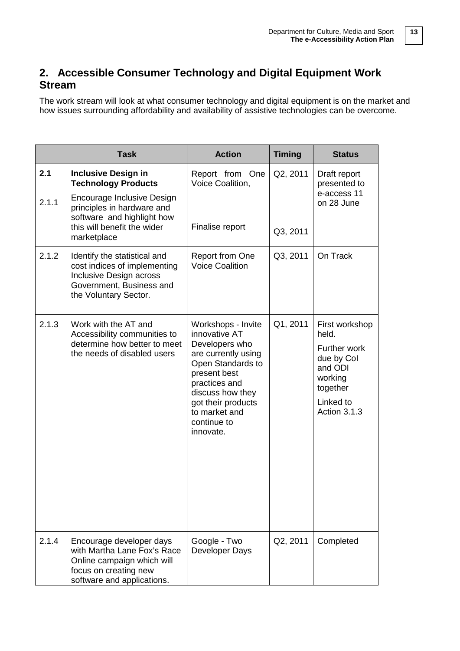## **2. Accessible Consumer Technology and Digital Equipment Work Stream**

The work stream will look at what consumer technology and digital equipment is on the market and how issues surrounding affordability and availability of assistive technologies can be overcome.

|              | <b>Task</b>                                                                                                                                                                                      | <b>Action</b>                                                                                                                                                                                                             | <b>Timing</b>        | <b>Status</b>                                                                                                        |
|--------------|--------------------------------------------------------------------------------------------------------------------------------------------------------------------------------------------------|---------------------------------------------------------------------------------------------------------------------------------------------------------------------------------------------------------------------------|----------------------|----------------------------------------------------------------------------------------------------------------------|
| 2.1<br>2.1.1 | <b>Inclusive Design in</b><br><b>Technology Products</b><br>Encourage Inclusive Design<br>principles in hardware and<br>software and highlight how<br>this will benefit the wider<br>marketplace | Report from One<br>Voice Coalition,<br>Finalise report                                                                                                                                                                    | Q2, 2011<br>Q3, 2011 | Draft report<br>presented to<br>e-access 11<br>on 28 June                                                            |
| 2.1.2        | Identify the statistical and<br>cost indices of implementing<br>Inclusive Design across<br>Government, Business and<br>the Voluntary Sector.                                                     | <b>Report from One</b><br><b>Voice Coalition</b>                                                                                                                                                                          | Q3, 2011             | On Track                                                                                                             |
| 2.1.3        | Work with the AT and<br>Accessibility communities to<br>determine how better to meet<br>the needs of disabled users                                                                              | Workshops - Invite<br>innovative AT<br>Developers who<br>are currently using<br>Open Standards to<br>present best<br>practices and<br>discuss how they<br>got their products<br>to market and<br>continue to<br>innovate. | Q1, 2011             | First workshop<br>held.<br>Further work<br>due by Col<br>and ODI<br>working<br>together<br>Linked to<br>Action 3.1.3 |
| 2.1.4        | Encourage developer days<br>with Martha Lane Fox's Race<br>Online campaign which will<br>focus on creating new<br>software and applications.                                                     | Google - Two<br>Developer Days                                                                                                                                                                                            | Q2, 2011             | Completed                                                                                                            |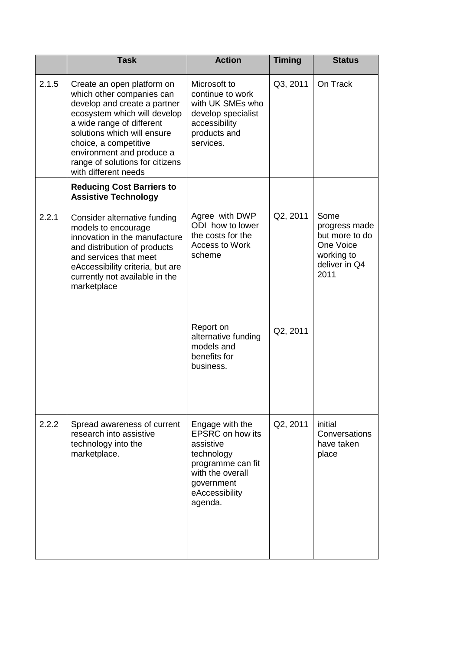|       | <b>Task</b>                                                                                                                                                                                                                                                                                          | <b>Action</b>                                                                                                                                             | <b>Timing</b> | <b>Status</b>                                                                               |
|-------|------------------------------------------------------------------------------------------------------------------------------------------------------------------------------------------------------------------------------------------------------------------------------------------------------|-----------------------------------------------------------------------------------------------------------------------------------------------------------|---------------|---------------------------------------------------------------------------------------------|
| 2.1.5 | Create an open platform on<br>which other companies can<br>develop and create a partner<br>ecosystem which will develop<br>a wide range of different<br>solutions which will ensure<br>choice, a competitive<br>environment and produce a<br>range of solutions for citizens<br>with different needs | Microsoft to<br>continue to work<br>with UK SMEs who<br>develop specialist<br>accessibility<br>products and<br>services.                                  | Q3, 2011      | On Track                                                                                    |
|       | <b>Reducing Cost Barriers to</b><br><b>Assistive Technology</b>                                                                                                                                                                                                                                      |                                                                                                                                                           |               |                                                                                             |
| 2.2.1 | Consider alternative funding<br>models to encourage<br>innovation in the manufacture<br>and distribution of products<br>and services that meet<br>eAccessibility criteria, but are<br>currently not available in the<br>marketplace                                                                  | Agree with DWP<br>ODI how to lower<br>the costs for the<br><b>Access to Work</b><br>scheme                                                                | Q2, 2011      | Some<br>progress made<br>but more to do<br>One Voice<br>working to<br>deliver in Q4<br>2011 |
|       |                                                                                                                                                                                                                                                                                                      | Report on<br>alternative funding<br>models and<br>benefits for<br>business.                                                                               | Q2, 2011      |                                                                                             |
| 2.2.2 | Spread awareness of current<br>research into assistive<br>technology into the<br>marketplace.                                                                                                                                                                                                        | Engage with the<br><b>EPSRC on how its</b><br>assistive<br>technology<br>programme can fit<br>with the overall<br>government<br>eAccessibility<br>agenda. | Q2, 2011      | initial<br>Conversations<br>have taken<br>place                                             |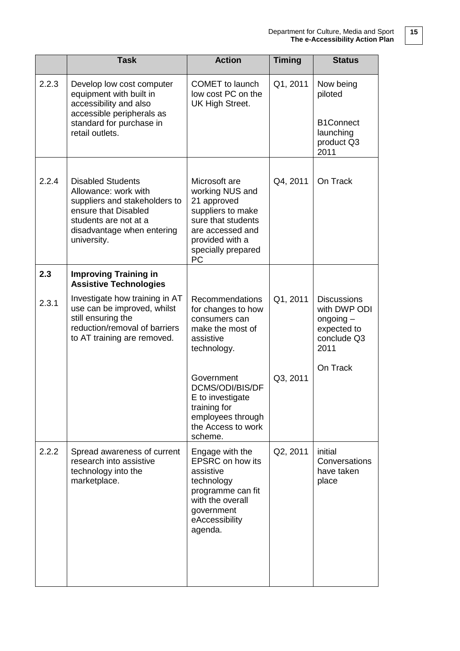|       | <b>Task</b>                                                                                                                                                                     | <b>Action</b>                                                                                                                                                 | <b>Timing</b> | <b>Status</b>                                                                           |
|-------|---------------------------------------------------------------------------------------------------------------------------------------------------------------------------------|---------------------------------------------------------------------------------------------------------------------------------------------------------------|---------------|-----------------------------------------------------------------------------------------|
| 2.2.3 | Develop low cost computer<br>equipment with built in<br>accessibility and also<br>accessible peripherals as<br>standard for purchase in<br>retail outlets.                      | <b>COMET</b> to launch<br>low cost PC on the<br>UK High Street.                                                                                               | Q1, 2011      | Now being<br>piloted<br><b>B1Connect</b><br>launching<br>product Q3<br>2011             |
| 2.2.4 | <b>Disabled Students</b><br>Allowance: work with<br>suppliers and stakeholders to<br>ensure that Disabled<br>students are not at a<br>disadvantage when entering<br>university. | Microsoft are<br>working NUS and<br>21 approved<br>suppliers to make<br>sure that students<br>are accessed and<br>provided with a<br>specially prepared<br>PC | Q4, 2011      | On Track                                                                                |
| 2.3   | <b>Improving Training in</b><br><b>Assistive Technologies</b>                                                                                                                   |                                                                                                                                                               |               |                                                                                         |
| 2.3.1 | Investigate how training in AT<br>use can be improved, whilst<br>still ensuring the<br>reduction/removal of barriers<br>to AT training are removed.                             | Recommendations<br>for changes to how<br>consumers can<br>make the most of<br>assistive<br>technology.                                                        | Q1, 2011      | <b>Discussions</b><br>with DWP ODI<br>$ongoing -$<br>expected to<br>conclude Q3<br>2011 |
|       |                                                                                                                                                                                 | Government<br>DCMS/ODI/BIS/DF<br>E to investigate<br>training for<br>employees through<br>the Access to work<br>scheme.                                       | Q3, 2011      | On Track                                                                                |
| 2.2.2 | Spread awareness of current<br>research into assistive<br>technology into the<br>marketplace.                                                                                   | Engage with the<br><b>EPSRC on how its</b><br>assistive<br>technology<br>programme can fit<br>with the overall<br>government<br>eAccessibility<br>agenda.     | Q2, 2011      | initial<br>Conversations<br>have taken<br>place                                         |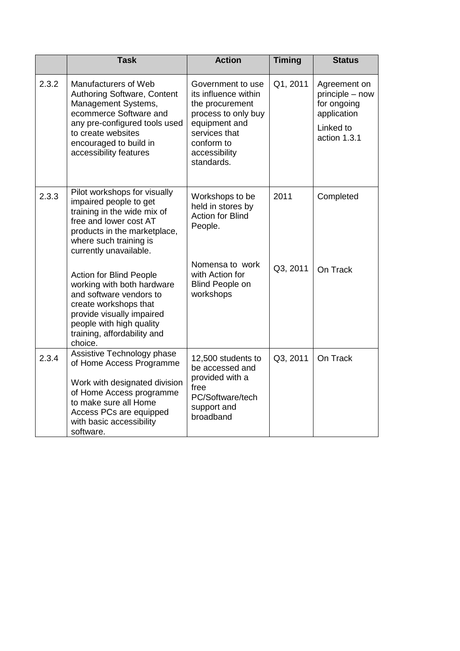|       | <b>Task</b>                                                                                                                                                                                                         | <b>Action</b>                                                                                                                                                      | <b>Timing</b> | <b>Status</b>                                                                              |
|-------|---------------------------------------------------------------------------------------------------------------------------------------------------------------------------------------------------------------------|--------------------------------------------------------------------------------------------------------------------------------------------------------------------|---------------|--------------------------------------------------------------------------------------------|
| 2.3.2 | Manufacturers of Web<br>Authoring Software, Content<br>Management Systems,<br>ecommerce Software and<br>any pre-configured tools used<br>to create websites<br>encouraged to build in<br>accessibility features     | Government to use<br>its influence within<br>the procurement<br>process to only buy<br>equipment and<br>services that<br>conform to<br>accessibility<br>standards. | Q1, 2011      | Agreement on<br>principle - now<br>for ongoing<br>application<br>Linked to<br>action 1.3.1 |
| 2.3.3 | Pilot workshops for visually<br>impaired people to get<br>training in the wide mix of<br>free and lower cost AT<br>products in the marketplace,<br>where such training is<br>currently unavailable.                 | Workshops to be<br>held in stores by<br><b>Action for Blind</b><br>People.                                                                                         | 2011          | Completed                                                                                  |
|       | <b>Action for Blind People</b><br>working with both hardware<br>and software vendors to<br>create workshops that<br>provide visually impaired<br>people with high quality<br>training, affordability and<br>choice. | Nomensa to work<br>with Action for<br>Blind People on<br>workshops                                                                                                 | Q3, 2011      | On Track                                                                                   |
| 2.3.4 | Assistive Technology phase<br>of Home Access Programme<br>Work with designated division<br>of Home Access programme<br>to make sure all Home<br>Access PCs are equipped<br>with basic accessibility<br>software.    | 12,500 students to<br>be accessed and<br>provided with a<br>free<br>PC/Software/tech<br>support and<br>broadband                                                   | Q3, 2011      | On Track                                                                                   |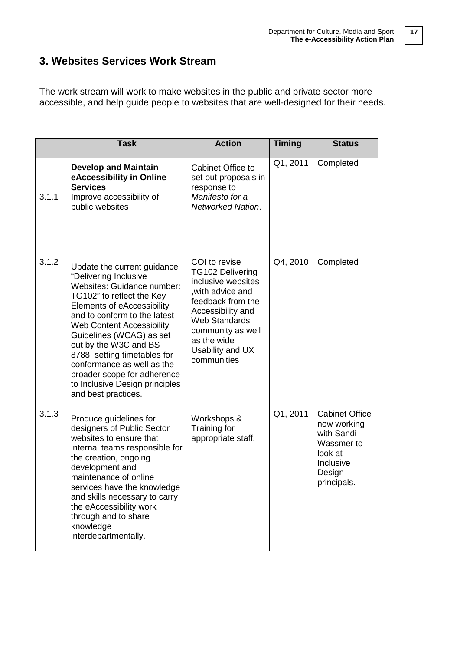**17**

## **3. Websites Services Work Stream**

The work stream will work to make websites in the public and private sector more accessible, and help guide people to websites that are well-designed for their needs.

|       | <b>Task</b>                                                                                                                                                                                                                                                                                                                                                                                                                  | <b>Action</b>                                                                                                                                                                                                                | <b>Timing</b> | <b>Status</b>                                                                                              |
|-------|------------------------------------------------------------------------------------------------------------------------------------------------------------------------------------------------------------------------------------------------------------------------------------------------------------------------------------------------------------------------------------------------------------------------------|------------------------------------------------------------------------------------------------------------------------------------------------------------------------------------------------------------------------------|---------------|------------------------------------------------------------------------------------------------------------|
| 3.1.1 | <b>Develop and Maintain</b><br>eAccessibility in Online<br><b>Services</b><br>Improve accessibility of<br>public websites                                                                                                                                                                                                                                                                                                    | Cabinet Office to<br>set out proposals in<br>response to<br>Manifesto for a<br><b>Networked Nation.</b>                                                                                                                      | Q1, 2011      | Completed                                                                                                  |
| 3.1.2 | Update the current guidance<br>"Delivering Inclusive<br>Websites: Guidance number:<br>TG102" to reflect the Key<br>Elements of eAccessibility<br>and to conform to the latest<br><b>Web Content Accessibility</b><br>Guidelines (WCAG) as set<br>out by the W3C and BS<br>8788, setting timetables for<br>conformance as well as the<br>broader scope for adherence<br>to Inclusive Design principles<br>and best practices. | COI to revise<br><b>TG102 Delivering</b><br>inclusive websites<br>, with advice and<br>feedback from the<br>Accessibility and<br><b>Web Standards</b><br>community as well<br>as the wide<br>Usability and UX<br>communities | Q4, 2010      | Completed                                                                                                  |
| 3.1.3 | Produce guidelines for<br>designers of Public Sector<br>websites to ensure that<br>internal teams responsible for<br>the creation, ongoing<br>development and<br>maintenance of online<br>services have the knowledge<br>and skills necessary to carry<br>the eAccessibility work<br>through and to share<br>knowledge<br>interdepartmentally.                                                                               | Workshops &<br>Training for<br>appropriate staff.                                                                                                                                                                            | Q1, 2011      | Cabinet Office<br>now working<br>with Sandi<br>Wassmer to<br>look at<br>Inclusive<br>Design<br>principals. |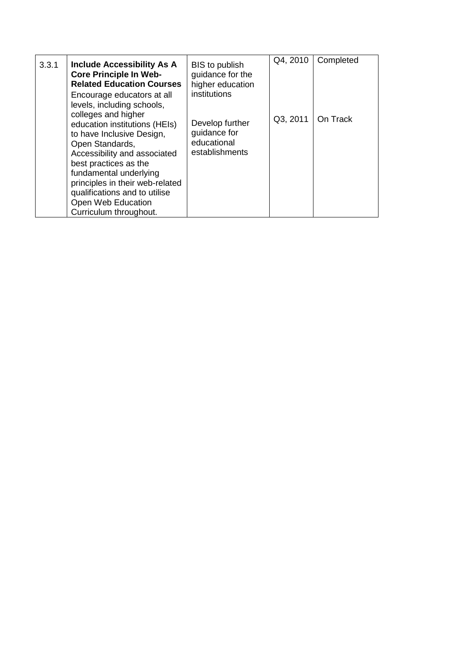| 3.3.1 | <b>Include Accessibility As A</b><br><b>Core Principle In Web-</b><br><b>Related Education Courses</b><br>Encourage educators at all<br>levels, including schools,<br>colleges and higher                                                                                            | BIS to publish<br>guidance for the<br>higher education<br>institutions | Q4, 2010 | Completed |
|-------|--------------------------------------------------------------------------------------------------------------------------------------------------------------------------------------------------------------------------------------------------------------------------------------|------------------------------------------------------------------------|----------|-----------|
|       | education institutions (HEIs)<br>to have Inclusive Design,<br>Open Standards,<br>Accessibility and associated<br>best practices as the<br>fundamental underlying<br>principles in their web-related<br>qualifications and to utilise<br>Open Web Education<br>Curriculum throughout. | Develop further<br>guidance for<br>educational<br>establishments       | Q3, 2011 | On Track  |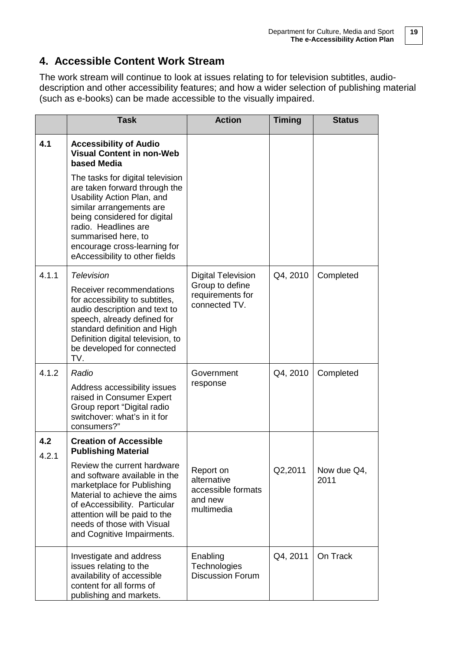## **4. Accessible Content Work Stream**

The work stream will continue to look at issues relating to for television subtitles, audiodescription and other accessibility features; and how a wider selection of publishing material (such as e-books) can be made accessible to the visually impaired.

|              | <b>Task</b>                                                                                                                                                                                                                                                                  | <b>Action</b>                                                           | <b>Timing</b> | <b>Status</b>       |
|--------------|------------------------------------------------------------------------------------------------------------------------------------------------------------------------------------------------------------------------------------------------------------------------------|-------------------------------------------------------------------------|---------------|---------------------|
| 4.1          | <b>Accessibility of Audio</b><br><b>Visual Content in non-Web</b><br>based Media                                                                                                                                                                                             |                                                                         |               |                     |
|              | The tasks for digital television<br>are taken forward through the<br>Usability Action Plan, and<br>similar arrangements are<br>being considered for digital<br>radio. Headlines are<br>summarised here, to<br>encourage cross-learning for<br>eAccessibility to other fields |                                                                         |               |                     |
| 4.1.1        | <b>Television</b>                                                                                                                                                                                                                                                            | <b>Digital Television</b>                                               | Q4, 2010      | Completed           |
|              | Receiver recommendations<br>for accessibility to subtitles,<br>audio description and text to<br>speech, already defined for<br>standard definition and High<br>Definition digital television, to<br>be developed for connected<br>TV.                                        | Group to define<br>requirements for<br>connected TV.                    |               |                     |
| 4.1.2        | Radio                                                                                                                                                                                                                                                                        | Government                                                              | Q4, 2010      | Completed           |
|              | Address accessibility issues<br>raised in Consumer Expert<br>Group report "Digital radio<br>switchover: what's in it for<br>consumers?"                                                                                                                                      | response                                                                |               |                     |
| 4.2<br>4.2.1 | <b>Creation of Accessible</b><br><b>Publishing Material</b>                                                                                                                                                                                                                  |                                                                         |               |                     |
|              | Review the current hardware<br>and software available in the<br>marketplace for Publishing<br>Material to achieve the aims<br>of eAccessibility. Particular<br>attention will be paid to the<br>needs of those with Visual<br>and Cognitive Impairments.                     | Report on<br>alternative<br>accessible formats<br>and new<br>multimedia | Q2,2011       | Now due Q4,<br>2011 |
|              | Investigate and address<br>issues relating to the<br>availability of accessible<br>content for all forms of<br>publishing and markets.                                                                                                                                       | Enabling<br>Technologies<br><b>Discussion Forum</b>                     | Q4, 2011      | On Track            |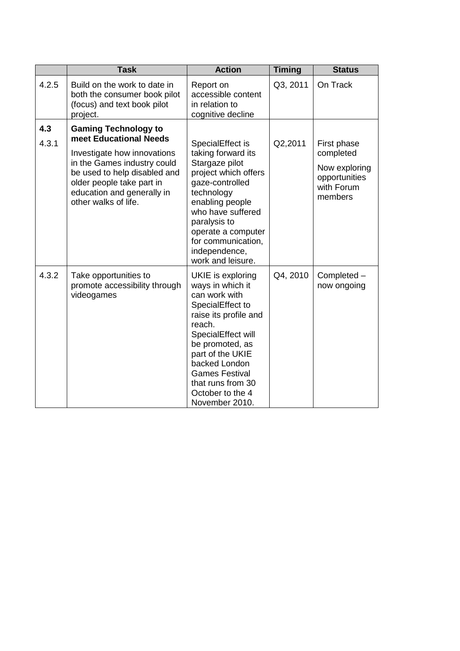|              | <b>Task</b>                                                                                                                                                                                                                            | <b>Action</b>                                                                                                                                                                                                                                                                   | <b>Timing</b> | <b>Status</b>                                                                       |
|--------------|----------------------------------------------------------------------------------------------------------------------------------------------------------------------------------------------------------------------------------------|---------------------------------------------------------------------------------------------------------------------------------------------------------------------------------------------------------------------------------------------------------------------------------|---------------|-------------------------------------------------------------------------------------|
| 4.2.5        | Build on the work to date in<br>both the consumer book pilot<br>(focus) and text book pilot<br>project.                                                                                                                                | Report on<br>accessible content<br>in relation to<br>cognitive decline                                                                                                                                                                                                          | Q3, 2011      | On Track                                                                            |
| 4.3<br>4.3.1 | <b>Gaming Technology to</b><br>meet Educational Needs<br>Investigate how innovations<br>in the Games industry could<br>be used to help disabled and<br>older people take part in<br>education and generally in<br>other walks of life. | SpecialEffect is<br>taking forward its<br>Stargaze pilot<br>project which offers<br>gaze-controlled<br>technology<br>enabling people<br>who have suffered<br>paralysis to<br>operate a computer<br>for communication,<br>independence,<br>work and leisure.                     | Q2,2011       | First phase<br>completed<br>Now exploring<br>opportunities<br>with Forum<br>members |
| 4.3.2        | Take opportunities to<br>promote accessibility through<br>videogames                                                                                                                                                                   | UKIE is exploring<br>ways in which it<br>can work with<br>SpecialEffect to<br>raise its profile and<br>reach.<br>SpecialEffect will<br>be promoted, as<br>part of the UKIE<br>backed London<br><b>Games Festival</b><br>that runs from 30<br>October to the 4<br>November 2010. | Q4, 2010      | Completed -<br>now ongoing                                                          |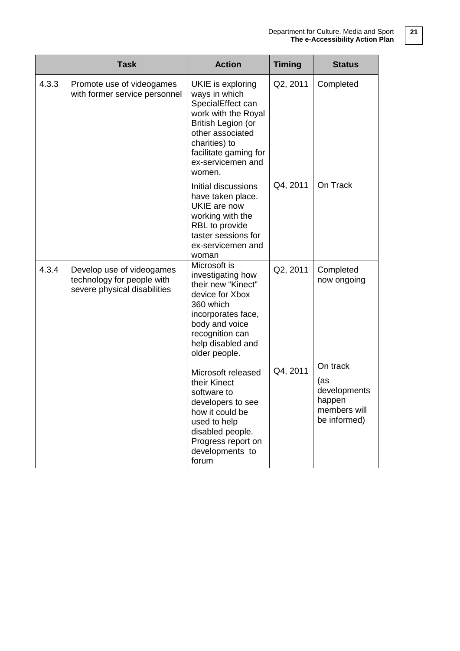|       | <b>Task</b>                                                                             | <b>Action</b>                                                                                                                                                                                            | <b>Timing</b> | <b>Status</b>                                                             |
|-------|-----------------------------------------------------------------------------------------|----------------------------------------------------------------------------------------------------------------------------------------------------------------------------------------------------------|---------------|---------------------------------------------------------------------------|
| 4.3.3 | Promote use of videogames<br>with former service personnel                              | UKIE is exploring<br>ways in which<br>SpecialEffect can<br>work with the Royal<br><b>British Legion (or</b><br>other associated<br>charities) to<br>facilitate gaming for<br>ex-servicemen and<br>women. | Q2, 2011      | Completed                                                                 |
|       |                                                                                         | Initial discussions<br>have taken place.<br><b>UKIE</b> are now<br>working with the<br>RBL to provide<br>taster sessions for<br>ex-servicemen and<br>woman                                               | Q4, 2011      | On Track                                                                  |
| 4.3.4 | Develop use of videogames<br>technology for people with<br>severe physical disabilities | Microsoft is<br>investigating how<br>their new "Kinect"<br>device for Xbox<br>360 which<br>incorporates face,<br>body and voice<br>recognition can<br>help disabled and<br>older people.                 | Q2, 2011      | Completed<br>now ongoing                                                  |
|       |                                                                                         | Microsoft released<br>their Kinect<br>software to<br>developers to see<br>how it could be<br>used to help<br>disabled people.<br>Progress report on<br>developments to<br>forum                          | Q4, 2011      | On track<br>(as<br>developments<br>happen<br>members will<br>be informed) |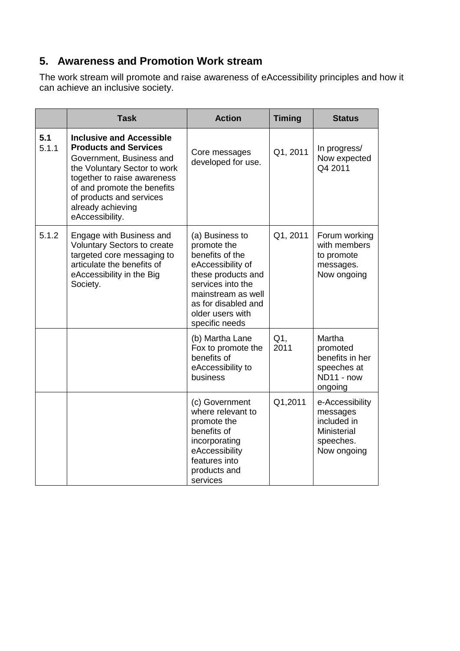## **5. Awareness and Promotion Work stream**

The work stream will promote and raise awareness of eAccessibility principles and how it can achieve an inclusive society.

|              | <b>Task</b>                                                                                                                                                                                                                                                   | <b>Action</b>                                                                                                                                                                                        | <b>Timing</b>  | <b>Status</b>                                                                                |
|--------------|---------------------------------------------------------------------------------------------------------------------------------------------------------------------------------------------------------------------------------------------------------------|------------------------------------------------------------------------------------------------------------------------------------------------------------------------------------------------------|----------------|----------------------------------------------------------------------------------------------|
| 5.1<br>5.1.1 | <b>Inclusive and Accessible</b><br><b>Products and Services</b><br>Government, Business and<br>the Voluntary Sector to work<br>together to raise awareness<br>of and promote the benefits<br>of products and services<br>already achieving<br>eAccessibility. | Core messages<br>developed for use.                                                                                                                                                                  | Q1, 2011       | In progress/<br>Now expected<br>Q4 2011                                                      |
| 5.1.2        | Engage with Business and<br><b>Voluntary Sectors to create</b><br>targeted core messaging to<br>articulate the benefits of<br>eAccessibility in the Big<br>Society.                                                                                           | (a) Business to<br>promote the<br>benefits of the<br>eAccessibility of<br>these products and<br>services into the<br>mainstream as well<br>as for disabled and<br>older users with<br>specific needs | Q1, 2011       | Forum working<br>with members<br>to promote<br>messages.<br>Now ongoing                      |
|              |                                                                                                                                                                                                                                                               | (b) Martha Lane<br>Fox to promote the<br>benefits of<br>eAccessibility to<br>business                                                                                                                | $Q1$ ,<br>2011 | Martha<br>promoted<br>benefits in her<br>speeches at<br>ND <sub>11</sub> - now<br>ongoing    |
|              |                                                                                                                                                                                                                                                               | (c) Government<br>where relevant to<br>promote the<br>benefits of<br>incorporating<br>eAccessibility<br>features into<br>products and<br>services                                                    | Q1,2011        | e-Accessibility<br>messages<br>included in<br><b>Ministerial</b><br>speeches.<br>Now ongoing |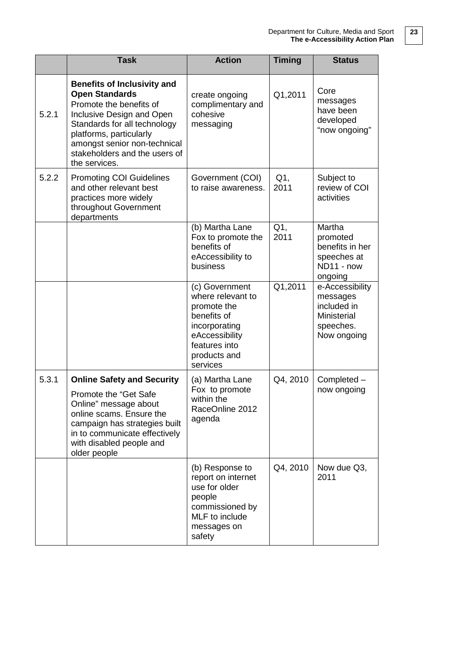|       | <b>Task</b>                                                                                                                                                                                                                                                      | <b>Action</b>                                                                                                                                     | <b>Timing</b>  | <b>Status</b>                                                                                |
|-------|------------------------------------------------------------------------------------------------------------------------------------------------------------------------------------------------------------------------------------------------------------------|---------------------------------------------------------------------------------------------------------------------------------------------------|----------------|----------------------------------------------------------------------------------------------|
| 5.2.1 | <b>Benefits of Inclusivity and</b><br><b>Open Standards</b><br>Promote the benefits of<br>Inclusive Design and Open<br>Standards for all technology<br>platforms, particularly<br>amongst senior non-technical<br>stakeholders and the users of<br>the services. | create ongoing<br>complimentary and<br>cohesive<br>messaging                                                                                      | Q1,2011        | Core<br>messages<br>have been<br>developed<br>"now ongoing"                                  |
| 5.2.2 | <b>Promoting COI Guidelines</b><br>and other relevant best<br>practices more widely<br>throughout Government<br>departments                                                                                                                                      | Government (COI)<br>to raise awareness.                                                                                                           | $Q1$ ,<br>2011 | Subject to<br>review of COI<br>activities                                                    |
|       |                                                                                                                                                                                                                                                                  | (b) Martha Lane<br>Fox to promote the<br>benefits of<br>eAccessibility to<br>business                                                             | $Q1$ ,<br>2011 | Martha<br>promoted<br>benefits in her<br>speeches at<br>ND <sub>11</sub> - now<br>ongoing    |
|       |                                                                                                                                                                                                                                                                  | (c) Government<br>where relevant to<br>promote the<br>benefits of<br>incorporating<br>eAccessibility<br>features into<br>products and<br>services | Q1,2011        | e-Accessibility<br>messages<br>included in<br><b>Ministerial</b><br>speeches.<br>Now ongoing |
| 5.3.1 | <b>Online Safety and Security</b><br>Promote the "Get Safe<br>Online" message about<br>online scams. Ensure the<br>campaign has strategies built<br>in to communicate effectively<br>with disabled people and<br>older people                                    | (a) Martha Lane<br>Fox to promote<br>within the<br>RaceOnline 2012<br>agenda                                                                      | Q4, 2010       | Completed -<br>now ongoing                                                                   |
|       |                                                                                                                                                                                                                                                                  | (b) Response to<br>report on internet<br>use for older<br>people<br>commissioned by<br>MLF to include<br>messages on<br>safety                    | Q4, 2010       | Now due Q3,<br>2011                                                                          |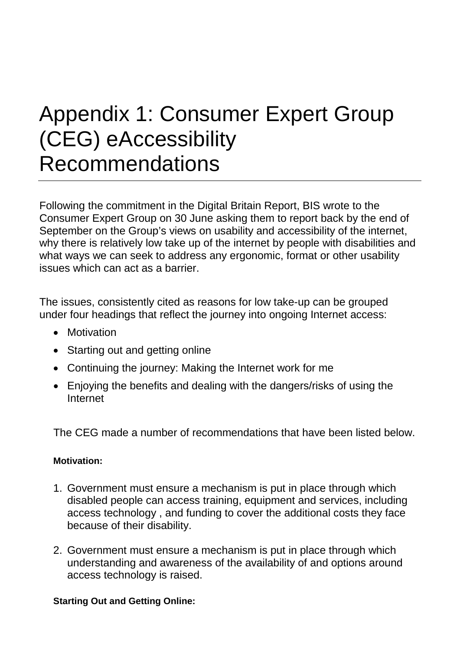## Appendix 1: Consumer Expert Group (CEG) eAccessibility Recommendations

Following the commitment in the Digital Britain Report, BIS wrote to the Consumer Expert Group on 30 June asking them to report back by the end of September on the Group's views on usability and accessibility of the internet, why there is relatively low take up of the internet by people with disabilities and what ways we can seek to address any ergonomic, format or other usability issues which can act as a barrier.

The issues, consistently cited as reasons for low take-up can be grouped under four headings that reflect the journey into ongoing Internet access:

- Motivation
- Starting out and getting online
- Continuing the journey: Making the Internet work for me
- Enjoying the benefits and dealing with the dangers/risks of using the Internet

The CEG made a number of recommendations that have been listed below.

### **Motivation:**

- 1. Government must ensure a mechanism is put in place through which disabled people can access training, equipment and services, including access technology , and funding to cover the additional costs they face because of their disability.
- 2. Government must ensure a mechanism is put in place through which understanding and awareness of the availability of and options around access technology is raised.

### **Starting Out and Getting Online:**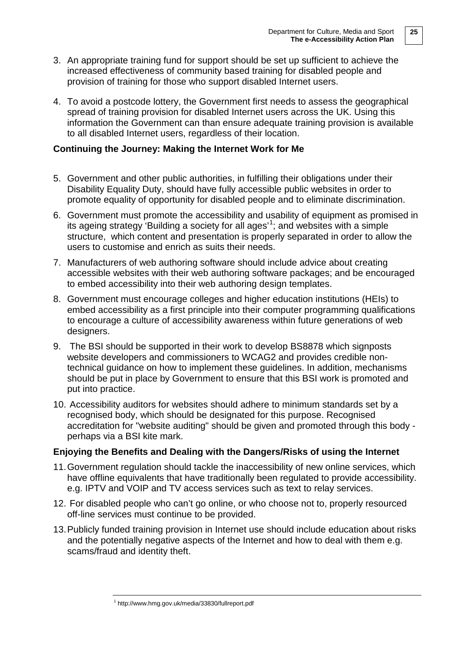- 3. An appropriate training fund for support should be set up sufficient to achieve the increased effectiveness of community based training for disabled people and provision of training for those who support disabled Internet users.
- 4. To avoid a postcode lottery, the Government first needs to assess the geographical spread of training provision for disabled Internet users across the UK. Using this information the Government can than ensure adequate training provision is available to all disabled Internet users, regardless of their location.

#### **Continuing the Journey: Making the Internet Work for Me**

- 5. Government and other public authorities, in fulfilling their obligations under their Disability Equality Duty, should have fully accessible public websites in order to promote equality of opportunity for disabled people and to eliminate discrimination.
- 6. Government must promote the accessibility and usability of equipment as promised in its ageing strategy 'Building a society for all ages'<sup>[1](#page-0-0)</sup>; and websites with a simple structure, which content and presentation is properly separated in order to allow the users to customise and enrich as suits their needs.
- 7. Manufacturers of web authoring software should include advice about creating accessible websites with their web authoring software packages; and be encouraged to embed accessibility into their web authoring design templates.
- 8. Government must encourage colleges and higher education institutions (HEIs) to embed accessibility as a first principle into their computer programming qualifications to encourage a culture of accessibility awareness within future generations of web designers.
- 9. The BSI should be supported in their work to develop BS8878 which signposts website developers and commissioners to WCAG2 and provides credible nontechnical guidance on how to implement these guidelines. In addition, mechanisms should be put in place by Government to ensure that this BSI work is promoted and put into practice.
- 10. Accessibility auditors for websites should adhere to minimum standards set by a recognised body, which should be designated for this purpose. Recognised accreditation for "website auditing" should be given and promoted through this body perhaps via a BSI kite mark.

#### **Enjoying the Benefits and Dealing with the Dangers/Risks of using the Internet**

- 11.Government regulation should tackle the inaccessibility of new online services, which have offline equivalents that have traditionally been regulated to provide accessibility. e.g. IPTV and VOIP and TV access services such as text to relay services.
- 12. For disabled people who can't go online, or who choose not to, properly resourced off-line services must continue to be provided.
- 13.Publicly funded training provision in Internet use should include education about risks and the potentially negative aspects of the Internet and how to deal with them e.g. scams/fraud and identity theft.

**<sup>25</sup>**

<sup>1</sup> http://www.hmg.gov.uk/media/33830/fullreport.pdf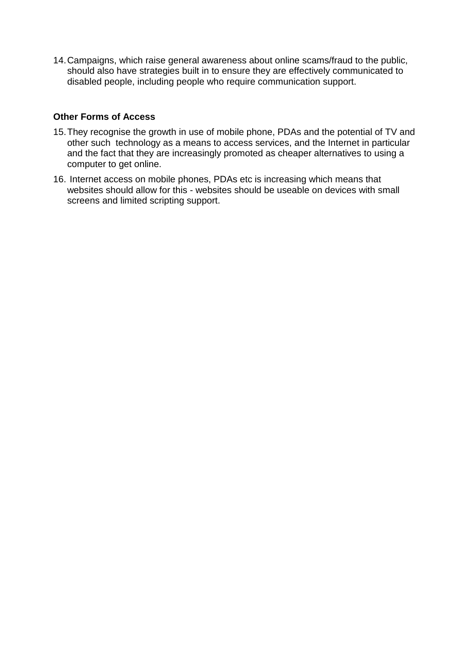14.Campaigns, which raise general awareness about online scams/fraud to the public, should also have strategies built in to ensure they are effectively communicated to disabled people, including people who require communication support.

#### **Other Forms of Access**

- 15.They recognise the growth in use of mobile phone, PDAs and the potential of TV and other such technology as a means to access services, and the Internet in particular and the fact that they are increasingly promoted as cheaper alternatives to using a computer to get online.
- 16. Internet access on mobile phones, PDAs etc is increasing which means that websites should allow for this - websites should be useable on devices with small screens and limited scripting support.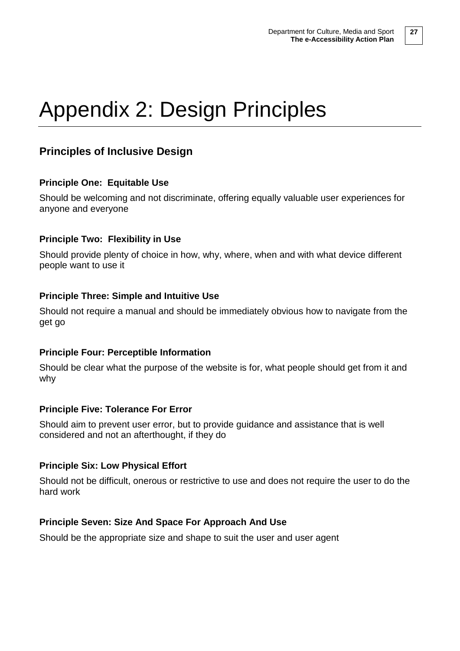## Appendix 2: Design Principles

## **Principles of Inclusive Design**

#### **Principle One: Equitable Use**

Should be welcoming and not discriminate, offering equally valuable user experiences for anyone and everyone

#### **Principle Two: Flexibility in Use**

Should provide plenty of choice in how, why, where, when and with what device different people want to use it

#### **Principle Three: Simple and Intuitive Use**

Should not require a manual and should be immediately obvious how to navigate from the get go

#### **Principle Four: Perceptible Information**

Should be clear what the purpose of the website is for, what people should get from it and why

#### **Principle Five: Tolerance For Error**

Should aim to prevent user error, but to provide guidance and assistance that is well considered and not an afterthought, if they do

#### **Principle Six: Low Physical Effort**

Should not be difficult, onerous or restrictive to use and does not require the user to do the hard work

#### **Principle Seven: Size And Space For Approach And Use**

Should be the appropriate size and shape to suit the user and user agent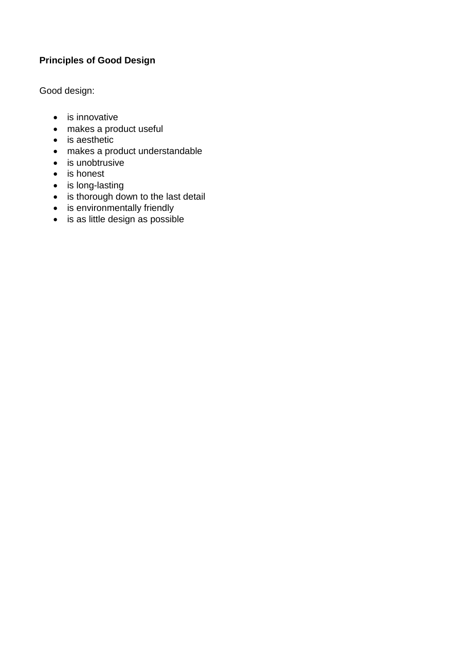## **Principles of Good Design**

Good design:

- is innovative
- makes a product useful
- is aesthetic
- makes a product understandable
- is unobtrusive
- is honest
- is long-lasting
- is thorough down to the last detail
- is environmentally friendly
- is as little design as possible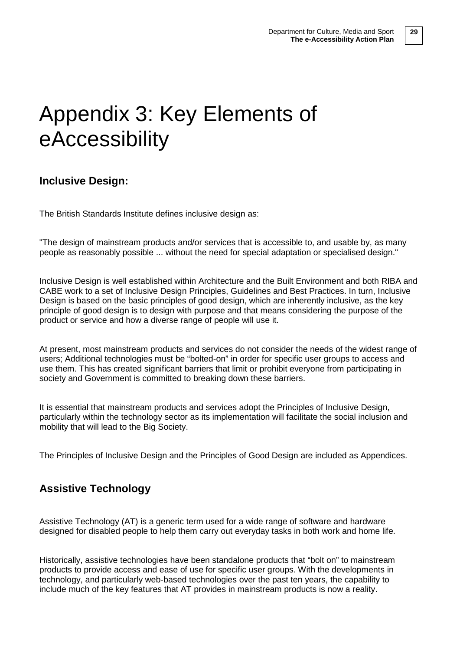## Appendix 3: Key Elements of eAccessibility

### **Inclusive Design:**

The British Standards Institute defines inclusive design as:

"The design of mainstream products and/or services that is accessible to, and usable by, as many people as reasonably possible ... without the need for special adaptation or specialised design."

Inclusive Design is well established within Architecture and the Built Environment and both RIBA and CABE work to a set of Inclusive Design Principles, Guidelines and Best Practices. In turn, Inclusive Design is based on the basic principles of good design, which are inherently inclusive, as the key principle of good design is to design with purpose and that means considering the purpose of the product or service and how a diverse range of people will use it.

At present, most mainstream products and services do not consider the needs of the widest range of users; Additional technologies must be "bolted-on" in order for specific user groups to access and use them. This has created significant barriers that limit or prohibit everyone from participating in society and Government is committed to breaking down these barriers.

It is essential that mainstream products and services adopt the Principles of Inclusive Design, particularly within the technology sector as its implementation will facilitate the social inclusion and mobility that will lead to the Big Society.

The Principles of Inclusive Design and the Principles of Good Design are included as Appendices.

## **Assistive Technology**

Assistive Technology (AT) is a generic term used for a wide range of software and hardware designed for disabled people to help them carry out everyday tasks in both work and home life.

Historically, assistive technologies have been standalone products that "bolt on" to mainstream products to provide access and ease of use for specific user groups. With the developments in technology, and particularly web-based technologies over the past ten years, the capability to include much of the key features that AT provides in mainstream products is now a reality.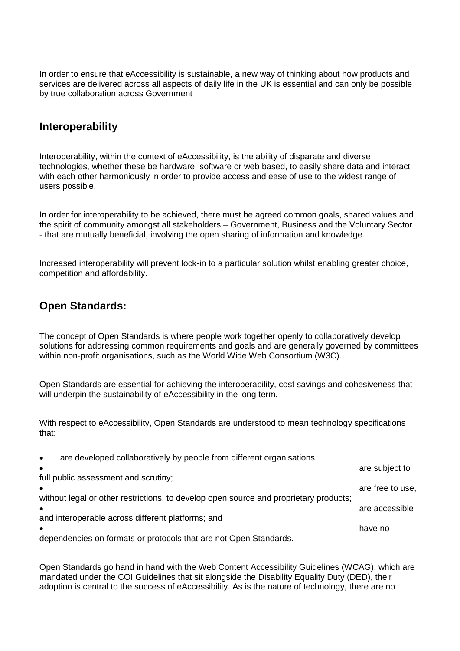In order to ensure that eAccessibility is sustainable, a new way of thinking about how products and services are delivered across all aspects of daily life in the UK is essential and can only be possible by true collaboration across Government

### **Interoperability**

Interoperability, within the context of eAccessibility, is the ability of disparate and diverse technologies, whether these be hardware, software or web based, to easily share data and interact with each other harmoniously in order to provide access and ease of use to the widest range of users possible.

In order for interoperability to be achieved, there must be agreed common goals, shared values and the spirit of community amongst all stakeholders – Government, Business and the Voluntary Sector - that are mutually beneficial, involving the open sharing of information and knowledge.

Increased interoperability will prevent lock-in to a particular solution whilst enabling greater choice, competition and affordability.

### **Open Standards:**

The concept of Open Standards is where people work together openly to collaboratively develop solutions for addressing common requirements and goals and are generally governed by committees within non-profit organisations, such as the World Wide Web Consortium (W3C).

Open Standards are essential for achieving the interoperability, cost savings and cohesiveness that will underpin the sustainability of eAccessibility in the long term.

With respect to eAccessibility, Open Standards are understood to mean technology specifications that:

| are developed collaboratively by people from different organisations;<br>$\bullet$    |                  |
|---------------------------------------------------------------------------------------|------------------|
|                                                                                       | are subject to   |
| full public assessment and scrutiny;                                                  |                  |
|                                                                                       | are free to use, |
| without legal or other restrictions, to develop open source and proprietary products; |                  |
|                                                                                       | are accessible   |
| and interoperable across different platforms; and                                     |                  |
|                                                                                       | have no          |
| dependencies on formats or protocols that are not Open Standards.                     |                  |

Open Standards go hand in hand with the Web Content Accessibility Guidelines (WCAG), which are mandated under the COI Guidelines that sit alongside the Disability Equality Duty (DED), their adoption is central to the success of eAccessibility. As is the nature of technology, there are no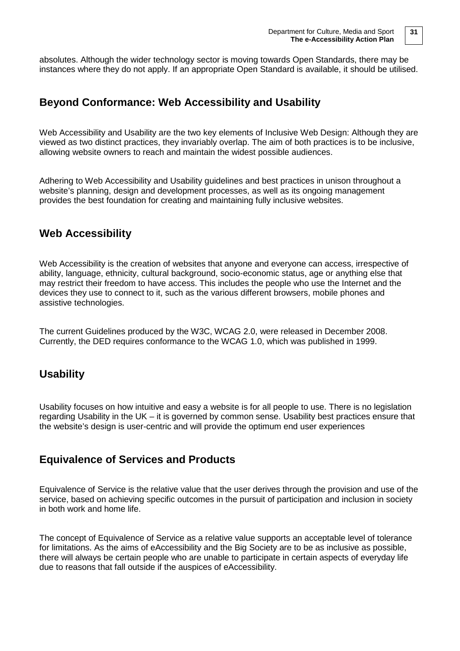absolutes. Although the wider technology sector is moving towards Open Standards, there may be instances where they do not apply. If an appropriate Open Standard is available, it should be utilised.

### **Beyond Conformance: Web Accessibility and Usability**

Web Accessibility and Usability are the two key elements of Inclusive Web Design: Although they are viewed as two distinct practices, they invariably overlap. The aim of both practices is to be inclusive, allowing website owners to reach and maintain the widest possible audiences.

Adhering to Web Accessibility and Usability guidelines and best practices in unison throughout a website's planning, design and development processes, as well as its ongoing management provides the best foundation for creating and maintaining fully inclusive websites.

### **Web Accessibility**

Web Accessibility is the creation of websites that anyone and everyone can access, irrespective of ability, language, ethnicity, cultural background, socio-economic status, age or anything else that may restrict their freedom to have access. This includes the people who use the Internet and the devices they use to connect to it, such as the various different browsers, mobile phones and assistive technologies.

The current Guidelines produced by the W3C, WCAG 2.0, were released in December 2008. Currently, the DED requires conformance to the WCAG 1.0, which was published in 1999.

### **Usability**

Usability focuses on how intuitive and easy a website is for all people to use. There is no legislation regarding Usability in the UK – it is governed by common sense. Usability best practices ensure that the website's design is user-centric and will provide the optimum end user experiences

## **Equivalence of Services and Products**

Equivalence of Service is the relative value that the user derives through the provision and use of the service, based on achieving specific outcomes in the pursuit of participation and inclusion in society in both work and home life.

The concept of Equivalence of Service as a relative value supports an acceptable level of tolerance for limitations. As the aims of eAccessibility and the Big Society are to be as inclusive as possible, there will always be certain people who are unable to participate in certain aspects of everyday life due to reasons that fall outside if the auspices of eAccessibility.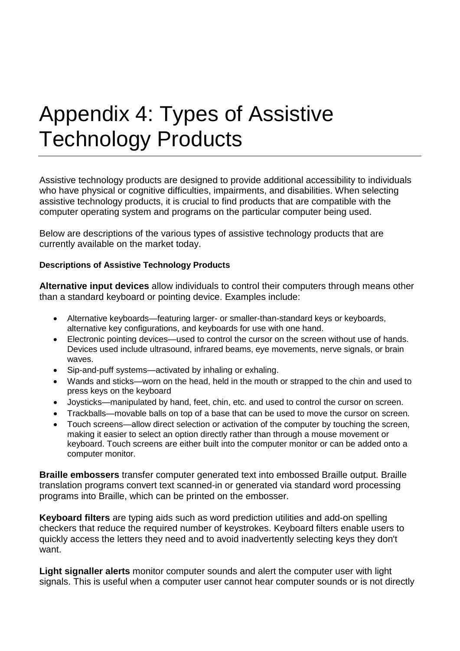## Appendix 4: Types of Assistive Technology Products

Assistive technology products are designed to provide additional accessibility to individuals who have physical or cognitive difficulties, impairments, and disabilities. When selecting assistive technology products, it is crucial to find products that are compatible with the computer operating system and programs on the particular computer being used.

Below are descriptions of the various types of assistive technology products that are currently available on the market today.

#### **Descriptions of Assistive Technology Products**

**Alternative input devices** allow individuals to control their computers through means other than a standard keyboard or pointing device. Examples include:

- Alternative keyboards—featuring larger- or smaller-than-standard keys or keyboards, alternative key configurations, and keyboards for use with one hand.
- Electronic pointing devices—used to control the cursor on the screen without use of hands. Devices used include ultrasound, infrared beams, eye movements, nerve signals, or brain waves.
- Sip-and-puff systems—activated by inhaling or exhaling.
- Wands and sticks—worn on the head, held in the mouth or strapped to the chin and used to press keys on the keyboard
- Joysticks—manipulated by hand, feet, chin, etc. and used to control the cursor on screen.
- Trackballs—movable balls on top of a base that can be used to move the cursor on screen.
- Touch screens—allow direct selection or activation of the computer by touching the screen, making it easier to select an option directly rather than through a mouse movement or keyboard. Touch screens are either built into the computer monitor or can be added onto a computer monitor.

**Braille embossers** transfer computer generated text into embossed Braille output. Braille translation programs convert text scanned-in or generated via standard word processing programs into Braille, which can be printed on the embosser.

**Keyboard filters** are typing aids such as word prediction utilities and add-on spelling checkers that reduce the required number of keystrokes. Keyboard filters enable users to quickly access the letters they need and to avoid inadvertently selecting keys they don't want.

**Light signaller alerts** monitor computer sounds and alert the computer user with light signals. This is useful when a computer user cannot hear computer sounds or is not directly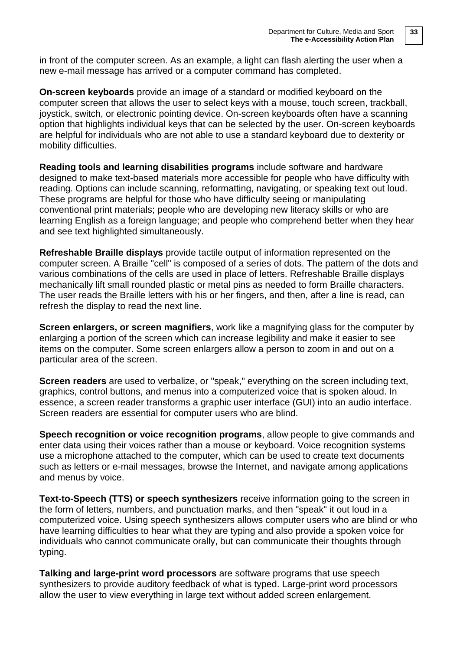in front of the computer screen. As an example, a light can flash alerting the user when a new e-mail message has arrived or a computer command has completed.

**On-screen keyboards** provide an image of a standard or modified keyboard on the computer screen that allows the user to select keys with a mouse, touch screen, trackball, joystick, switch, or electronic pointing device. On-screen keyboards often have a scanning option that highlights individual keys that can be selected by the user. On-screen keyboards are helpful for individuals who are not able to use a standard keyboard due to dexterity or mobility difficulties.

**Reading tools and learning disabilities programs** include software and hardware designed to make text-based materials more accessible for people who have difficulty with reading. Options can include scanning, reformatting, navigating, or speaking text out loud. These programs are helpful for those who have difficulty seeing or manipulating conventional print materials; people who are developing new literacy skills or who are learning English as a foreign language; and people who comprehend better when they hear and see text highlighted simultaneously.

**Refreshable Braille displays** provide tactile output of information represented on the computer screen. A Braille "cell" is composed of a series of dots. The pattern of the dots and various combinations of the cells are used in place of letters. Refreshable Braille displays mechanically lift small rounded plastic or metal pins as needed to form Braille characters. The user reads the Braille letters with his or her fingers, and then, after a line is read, can refresh the display to read the next line.

**Screen enlargers, or screen magnifiers**, work like a magnifying glass for the computer by enlarging a portion of the screen which can increase legibility and make it easier to see items on the computer. Some screen enlargers allow a person to zoom in and out on a particular area of the screen.

**Screen readers** are used to verbalize, or "speak," everything on the screen including text, graphics, control buttons, and menus into a computerized voice that is spoken aloud. In essence, a screen reader transforms a graphic user interface (GUI) into an audio interface. Screen readers are essential for computer users who are blind.

**Speech recognition or voice recognition programs**, allow people to give commands and enter data using their voices rather than a mouse or keyboard. Voice recognition systems use a microphone attached to the computer, which can be used to create text documents such as letters or e-mail messages, browse the Internet, and navigate among applications and menus by voice.

**Text-to-Speech (TTS) or speech synthesizers** receive information going to the screen in the form of letters, numbers, and punctuation marks, and then "speak" it out loud in a computerized voice. Using speech synthesizers allows computer users who are blind or who have learning difficulties to hear what they are typing and also provide a spoken voice for individuals who cannot communicate orally, but can communicate their thoughts through typing.

**Talking and large-print word processors** are software programs that use speech synthesizers to provide auditory feedback of what is typed. Large-print word processors allow the user to view everything in large text without added screen enlargement.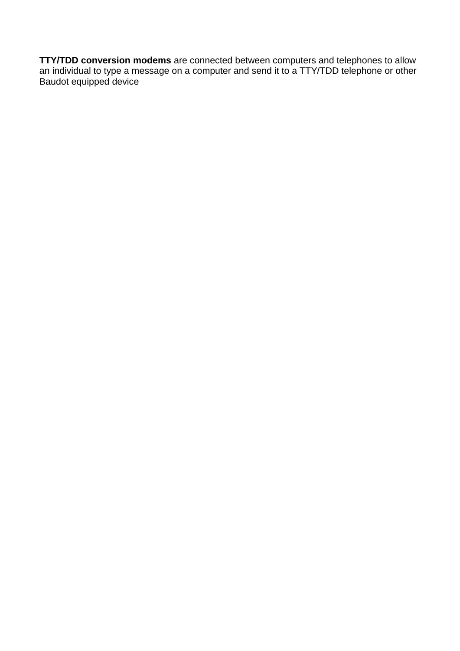**TTY/TDD conversion modems** are connected between computers and telephones to allow an individual to type a message on a computer and send it to a TTY/TDD telephone or other Baudot equipped device